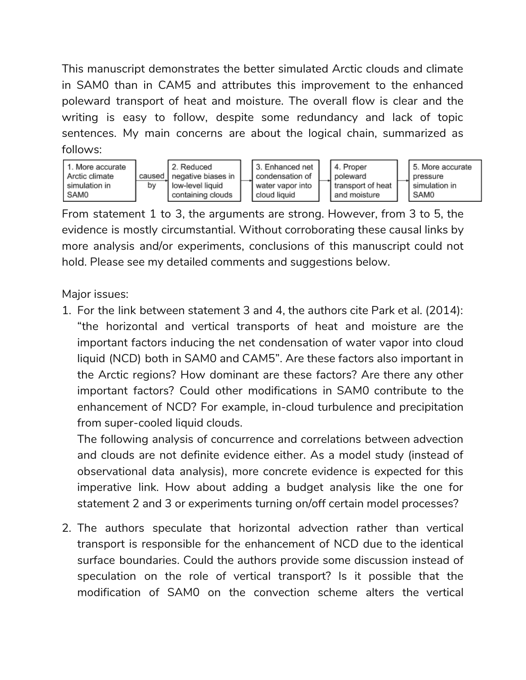This manuscript demonstrates the better simulated Arctic clouds and climate in SAM0 than in CAM5 and attributes this improvement to the enhanced poleward transport of heat and moisture. The overall flow is clear and the writing is easy to follow, despite some redundancy and lack of topic sentences. My main concerns are about the logical chain, summarized as follows:



From statement 1 to 3, the arguments are strong. However, from 3 to 5, the evidence is mostly circumstantial. Without corroborating these causal links by more analysis and/or experiments, conclusions of this manuscript could not hold. Please see my detailed comments and suggestions below.

Major issues:

1. For the link between statement 3 and 4, the authors cite Park et al. (2014): "the horizontal and vertical transports of heat and moisture are the important factors inducing the net condensation of water vapor into cloud liquid (NCD) both in SAM0 and CAM5". Are these factors also important in the Arctic regions? How dominant are these factors? Are there any other important factors? Could other modifications in SAM0 contribute to the enhancement of NCD? For example, in-cloud turbulence and precipitation from super-cooled liquid clouds.

The following analysis of concurrence and correlations between advection and clouds are not definite evidence either. As a model study (instead of observational data analysis), more concrete evidence is expected for this imperative link. How about adding a budget analysis like the one for statement 2 and 3 or experiments turning on/off certain model processes?

2. The authors speculate that horizontal advection rather than vertical transport is responsible for the enhancement of NCD due to the identical surface boundaries. Could the authors provide some discussion instead of speculation on the role of vertical transport? Is it possible that the modification of SAM0 on the convection scheme alters the vertical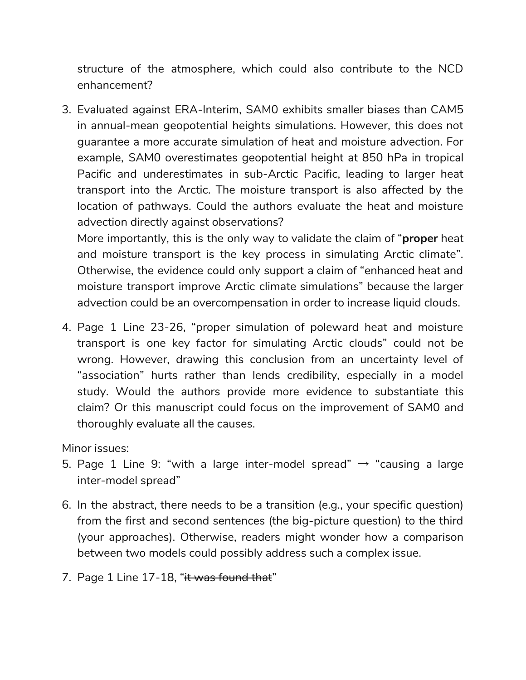structure of the atmosphere, which could also contribute to the NCD enhancement?

3. Evaluated against ERA-Interim, SAM0 exhibits smaller biases than CAM5 in annual-mean geopotential heights simulations. However, this does not guarantee a more accurate simulation of heat and moisture advection. For example, SAM0 overestimates geopotential height at 850 hPa in tropical Pacific and underestimates in sub-Arctic Pacific, leading to larger heat transport into the Arctic. The moisture transport is also affected by the location of pathways. Could the authors evaluate the heat and moisture advection directly against observations?

More importantly, this is the only way to validate the claim of "**proper** heat and moisture transport is the key process in simulating Arctic climate". Otherwise, the evidence could only support a claim of "enhanced heat and moisture transport improve Arctic climate simulations" because the larger advection could be an overcompensation in order to increase liquid clouds.

4. Page 1 Line 23-26, "proper simulation of poleward heat and moisture transport is one key factor for simulating Arctic clouds" could not be wrong. However, drawing this conclusion from an uncertainty level of "association" hurts rather than lends credibility, especially in a model study. Would the authors provide more evidence to substantiate this claim? Or this manuscript could focus on the improvement of SAM0 and thoroughly evaluate all the causes.

Minor issues:

- 5. Page 1 Line 9: "with a large inter-model spread"  $\rightarrow$  "causing a large inter-model spread"
- 6. In the abstract, there needs to be a transition (e.g., your specific question) from the first and second sentences (the big-picture question) to the third (your approaches). Otherwise, readers might wonder how a comparison between two models could possibly address such a complex issue.
- 7. Page 1 Line 17-18, "it was found that"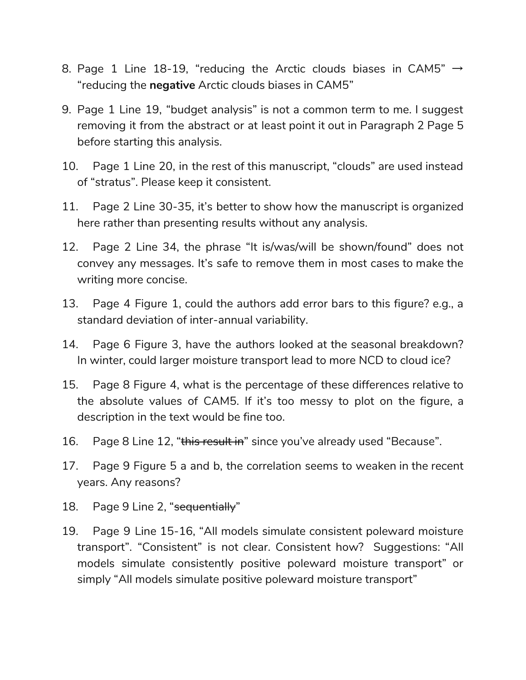- 8. Page 1 Line 18-19, "reducing the Arctic clouds biases in CAM5"  $\rightarrow$ "reducing the negative Arctic clouds biases in CAM5"
- 9. Page 1 Line 19, "budget analysis" is not a common term to me. I suggest removing it from the abstract or at least point it out in Paragraph 2 Page 5 before starting this analysis.
- 10. Page 1 Line 20, in the rest of this manuscript, "clouds" are used instead of "stratus". Please keep it consistent.
- 11. Page 2 Line 30-35, it's better to show how the manuscript is organized here rather than presenting results without any analysis.
- 12. Page 2 Line 34, the phrase "It is/was/will be shown/found" does not convey any messages. It's safe to remove them in most cases to make the writing more concise.
- 13. Page 4 Figure 1, could the authors add error bars to this figure? e.g., a standard deviation of inter-annual variability.
- 14. Page 6 Figure 3, have the authors looked at the seasonal breakdown? In winter, could larger moisture transport lead to more NCD to cloud ice?
- 15. Page 8 Figure 4, what is the percentage of these differences relative to the absolute values of CAM5. If it's too messy to plot on the figure, a description in the text would be fine too.
- 16. Page 8 Line 12, "this result in" since you've already used "Because".
- 17. Page 9 Figure 5 a and b, the correlation seems to weaken in the recent years. Any reasons?
- 18. Page 9 Line 2, "sequentially"
- 19. Page 9 Line 15-16, "All models simulate consistent poleward moisture transport". "Consistent" is not clear. Consistent how? Suggestions: "All models simulate consistently positive poleward moisture transport" or simply "All models simulate positive poleward moisture transport"